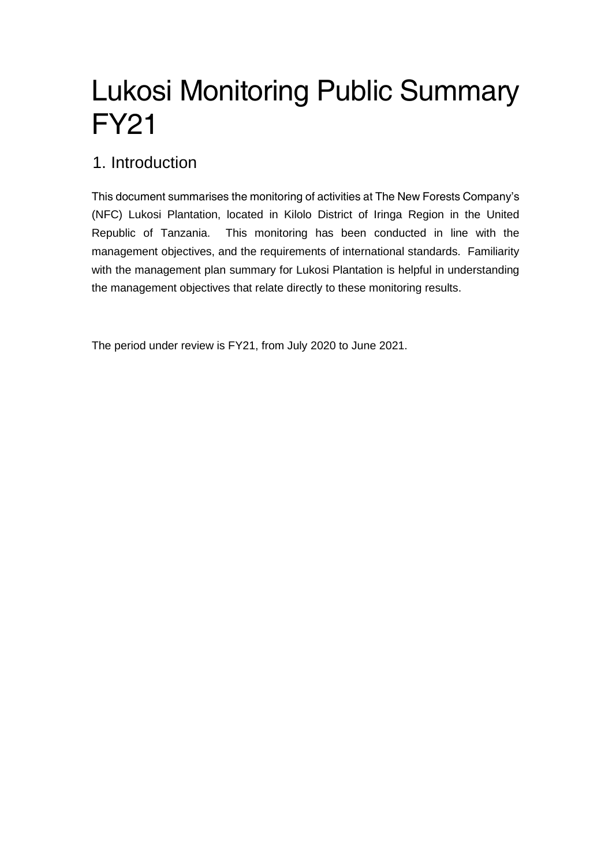# Lukosi Monitoring Public Summary FY21

# 1. Introduction

This document summarises the monitoring of activities at The New Forests Company's (NFC) Lukosi Plantation, located in Kilolo District of Iringa Region in the United Republic of Tanzania. This monitoring has been conducted in line with the management objectives, and the requirements of international standards. Familiarity with the management plan summary for Lukosi Plantation is helpful in understanding the management objectives that relate directly to these monitoring results.

The period under review is FY21, from July 2020 to June 2021.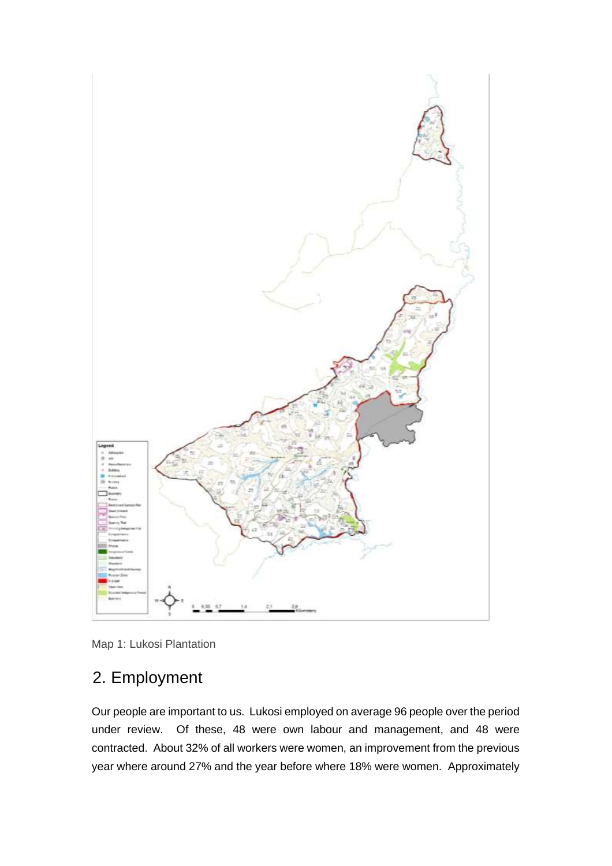

*Map 1: Lukosi Plantation*

# 2. Employment

Our people are important to us. Lukosi employed on average 96 people over the period under review. Of these, 48 were own labour and management, and 48 were contracted. About 32% of all workers were women, an improvement from the previous year where around 27% and the year before where 18% were women. Approximately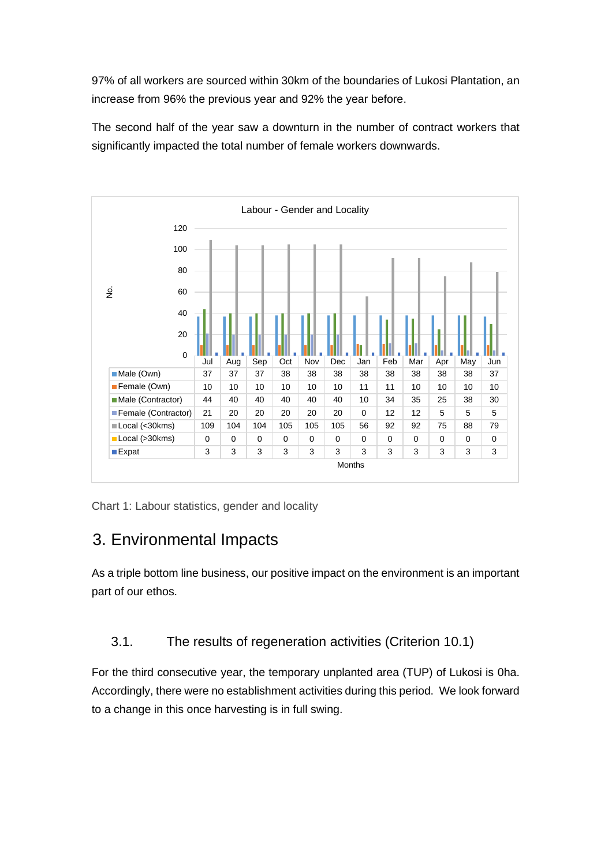97% of all workers are sourced within 30km of the boundaries of Lukosi Plantation, an increase from 96% the previous year and 92% the year before.

The second half of the year saw a downturn in the number of contract workers that significantly impacted the total number of female workers downwards.



*Chart 1: Labour statistics, gender and locality*

# 3. Environmental Impacts

As a triple bottom line business, our positive impact on the environment is an important part of our ethos.

#### 3.1. The results of regeneration activities (Criterion 10.1)

For the third consecutive year, the temporary unplanted area (TUP) of Lukosi is 0ha. Accordingly, there were no establishment activities during this period. We look forward to a change in this once harvesting is in full swing.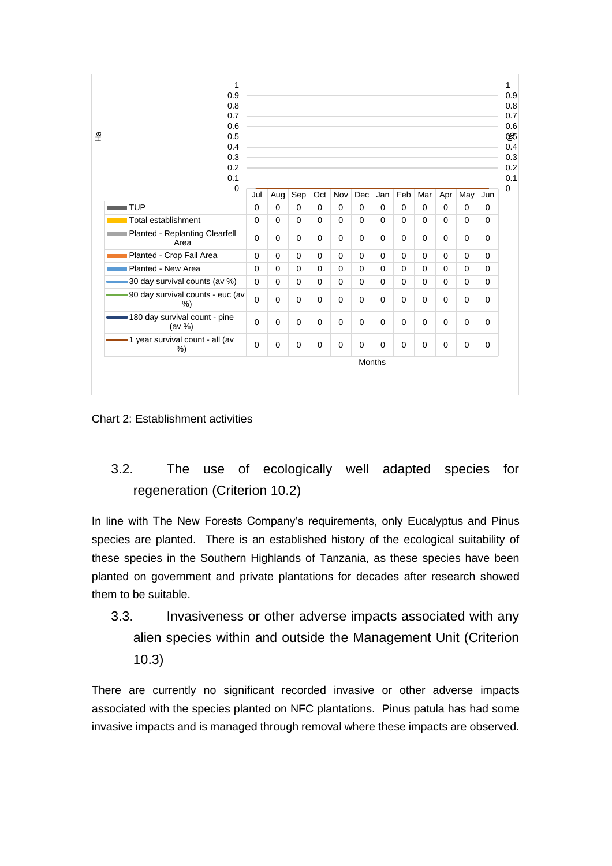| 1<br>0.9                                 |             | the control of the control of the control of the control of the control of the control of the control of the control of the control of the control of the control of the control of the control of the control of the control |             |          |                                                                                                                                                                                                                               |          |               |           |          |          |                                                                                                                       |          |
|------------------------------------------|-------------|-------------------------------------------------------------------------------------------------------------------------------------------------------------------------------------------------------------------------------|-------------|----------|-------------------------------------------------------------------------------------------------------------------------------------------------------------------------------------------------------------------------------|----------|---------------|-----------|----------|----------|-----------------------------------------------------------------------------------------------------------------------|----------|
| 0.8                                      |             |                                                                                                                                                                                                                               |             |          |                                                                                                                                                                                                                               |          |               |           |          |          | and the control of the control of the control of the control of the control of the control of the control of the      |          |
| 0.7                                      |             | and the control of the control of the control of the control of the control of the control of the control of the                                                                                                              |             |          |                                                                                                                                                                                                                               |          |               |           |          |          |                                                                                                                       |          |
| 0.6                                      |             | the control of the control of the control of the control of the control of the control of the control of the control of the control of the control of the control of the control of the control of the control of the control |             |          |                                                                                                                                                                                                                               |          |               |           |          |          |                                                                                                                       |          |
| 0.5                                      |             |                                                                                                                                                                                                                               |             |          |                                                                                                                                                                                                                               |          |               |           |          |          | and the control of the control of the control of the control of the control of the control of the control of the      |          |
| 0.4                                      |             |                                                                                                                                                                                                                               |             |          |                                                                                                                                                                                                                               |          |               |           |          |          | <u> 1989 - Johann Stein, marwolaethau a bhann an chomhair an chomhair an chomhair an chomhair an chomhair an chom</u> |          |
| 0.3                                      |             |                                                                                                                                                                                                                               |             |          |                                                                                                                                                                                                                               |          |               |           |          |          | <u> 1989 - Jan Salaman Salaman (j. 1989)</u>                                                                          |          |
| 0.2                                      |             |                                                                                                                                                                                                                               |             |          |                                                                                                                                                                                                                               |          |               |           |          |          |                                                                                                                       |          |
| 0.1                                      |             |                                                                                                                                                                                                                               |             |          | the control of the control of the control of the control of the control of the control of the control of the control of the control of the control of the control of the control of the control of the control of the control |          |               |           |          |          |                                                                                                                       |          |
| $\mathbf 0$                              | Jul         | Aug                                                                                                                                                                                                                           | Sep         |          | Oct   Nov                                                                                                                                                                                                                     | Dec      |               | $Jan$ Feb | Mar      |          | Apr May                                                                                                               | Jun      |
| <b>TUP</b>                               | $\Omega$    | $\Omega$                                                                                                                                                                                                                      | $\Omega$    | $\Omega$ | $\Omega$                                                                                                                                                                                                                      | $\Omega$ | $\Omega$      | $\Omega$  | $\Omega$ | $\Omega$ | $\Omega$                                                                                                              | $\Omega$ |
| Total establishment                      | $\Omega$    | $\Omega$                                                                                                                                                                                                                      | $\Omega$    | $\Omega$ | $\Omega$                                                                                                                                                                                                                      | $\Omega$ | $\Omega$      | $\Omega$  | $\Omega$ | $\Omega$ | $\Omega$                                                                                                              | $\Omega$ |
| Planted - Replanting Clearfell<br>Area   | $\mathbf 0$ | $\mathbf 0$                                                                                                                                                                                                                   | $\Omega$    | $\Omega$ | $\Omega$                                                                                                                                                                                                                      | $\Omega$ | $\Omega$      | 0         | $\Omega$ | $\Omega$ | $\Omega$                                                                                                              | $\Omega$ |
| Planted - Crop Fail Area                 | $\Omega$    | $\Omega$                                                                                                                                                                                                                      | $\Omega$    | $\Omega$ | $\Omega$                                                                                                                                                                                                                      | $\Omega$ | $\Omega$      | $\Omega$  | $\Omega$ | $\Omega$ | $\Omega$                                                                                                              | $\Omega$ |
| Planted - New Area                       | $\Omega$    | $\Omega$                                                                                                                                                                                                                      | $\Omega$    | $\Omega$ | $\Omega$                                                                                                                                                                                                                      | $\Omega$ | $\Omega$      | $\Omega$  | $\Omega$ | $\Omega$ | $\Omega$                                                                                                              | $\Omega$ |
| 30 day survival counts (av %)            | $\Omega$    | $\Omega$                                                                                                                                                                                                                      | $\Omega$    | $\Omega$ | $\Omega$                                                                                                                                                                                                                      | $\Omega$ | $\Omega$      | $\Omega$  | $\Omega$ | $\Omega$ | $\Omega$                                                                                                              | $\Omega$ |
| 90 day survival counts - euc (av<br>%    | $\Omega$    | $\Omega$                                                                                                                                                                                                                      | $\Omega$    | $\Omega$ | $\Omega$                                                                                                                                                                                                                      | $\Omega$ | $\Omega$      | $\Omega$  | $\Omega$ | $\Omega$ | $\Omega$                                                                                                              | $\Omega$ |
| -180 day survival count - pine<br>(av %) | $\Omega$    | $\Omega$                                                                                                                                                                                                                      | $\Omega$    | $\Omega$ | $\Omega$                                                                                                                                                                                                                      | $\Omega$ | $\Omega$      | $\Omega$  | $\Omega$ | $\Omega$ | $\Omega$                                                                                                              | $\Omega$ |
| -1 year survival count - all (av<br>%    | $\Omega$    | $\Omega$                                                                                                                                                                                                                      | $\mathbf 0$ | $\Omega$ | $\Omega$                                                                                                                                                                                                                      | $\Omega$ | $\Omega$      | $\Omega$  | $\Omega$ | $\Omega$ | $\Omega$                                                                                                              | $\Omega$ |
|                                          |             |                                                                                                                                                                                                                               |             |          |                                                                                                                                                                                                                               |          | <b>Months</b> |           |          |          |                                                                                                                       |          |

*Chart 2: Establishment activities*

3.2. The use of ecologically well adapted species for regeneration (Criterion 10.2)

In line with The New Forests Company's requirements, only *Eucalyptus* and *Pinus* species are planted. There is an established history of the ecological suitability of these species in the Southern Highlands of Tanzania, as these species have been planted on government and private plantations for decades after research showed them to be suitable.

3.3. Invasiveness or other adverse impacts associated with any alien species within and outside the Management Unit (Criterion 10.3)

There are currently no significant recorded invasive or other adverse impacts associated with the species planted on NFC plantations. *Pinus patula* has had some invasive impacts and is managed through removal where these impacts are observed.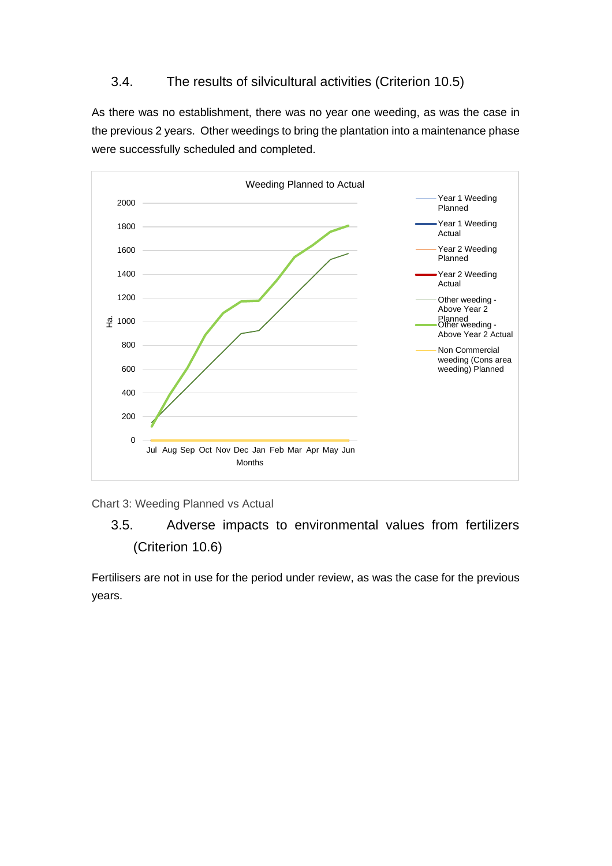#### 3.4. The results of silvicultural activities (Criterion 10.5)

As there was no establishment, there was no year one weeding, as was the case in the previous 2 years. Other weedings to bring the plantation into a maintenance phase were successfully scheduled and completed.



*Chart 3: Weeding Planned vs Actual*

## 3.5. Adverse impacts to environmental values from fertilizers (Criterion 10.6)

Fertilisers are not in use for the period under review, as was the case for the previous years.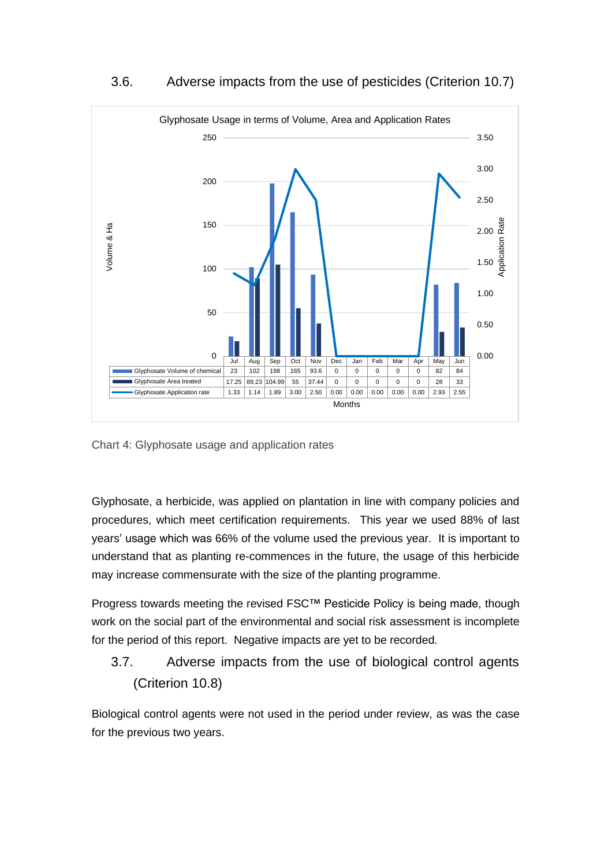

*Chart 4: Glyphosate usage and application rates*

Glyphosate, a herbicide, was applied on plantation in line with company policies and procedures, which meet certification requirements. This year we used 88% of last years' usage which was 66% of the volume used the previous year. It is important to understand that as planting re-commences in the future, the usage of this herbicide may increase commensurate with the size of the planting programme.

Progress towards meeting the revised FSC<sup>™</sup> Pesticide Policy is being made, though work on the social part of the environmental and social risk assessment is incomplete for the period of this report. Negative impacts are yet to be recorded.

3.7. Adverse impacts from the use of biological control agents (Criterion 10.8)

Biological control agents were not used in the period under review, as was the case for the previous two years.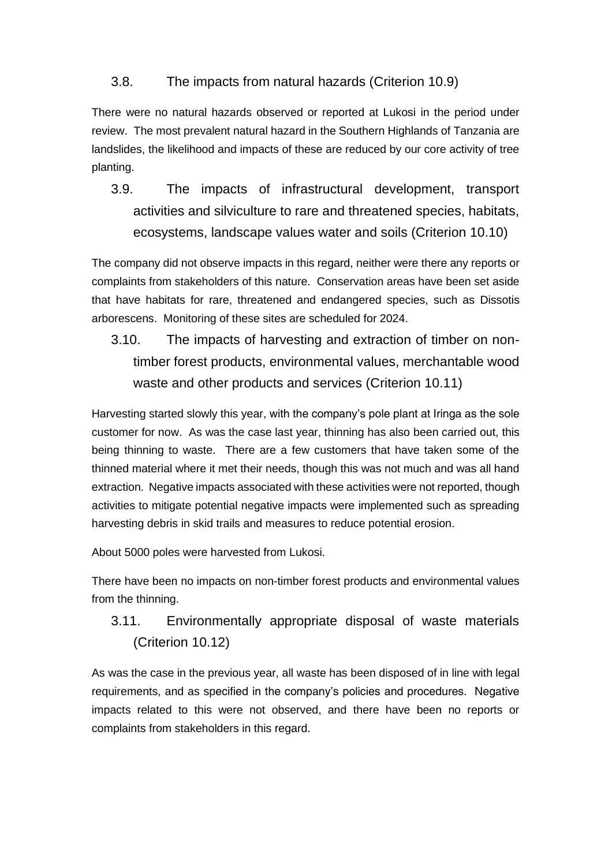#### 3.8. The impacts from natural hazards (Criterion 10.9)

There were no natural hazards observed or reported at Lukosi in the period under review. The most prevalent natural hazard in the Southern Highlands of Tanzania are landslides, the likelihood and impacts of these are reduced by our core activity of tree planting.

3.9. The impacts of infrastructural development, transport activities and silviculture to rare and threatened species, habitats, ecosystems, landscape values water and soils (Criterion 10.10)

The company did not observe impacts in this regard, neither were there any reports or complaints from stakeholders of this nature. Conservation areas have been set aside that have habitats for rare, threatened and endangered species, such as *Dissotis arborescens*. Monitoring of these sites are scheduled for 2024.

3.10. The impacts of harvesting and extraction of timber on nontimber forest products, environmental values, merchantable wood waste and other products and services (Criterion 10.11)

Harvesting started slowly this year, with the company's pole plant at Iringa as the sole customer for now. As was the case last year, thinning has also been carried out, this being thinning to waste. There are a few customers that have taken some of the thinned material where it met their needs, though this was not much and was all hand extraction. Negative impacts associated with these activities were not reported, though activities to mitigate potential negative impacts were implemented such as spreading harvesting debris in skid trails and measures to reduce potential erosion.

About 5000 poles were harvested from Lukosi.

There have been no impacts on non-timber forest products and environmental values from the thinning.

3.11. Environmentally appropriate disposal of waste materials (Criterion 10.12)

As was the case in the previous year, all waste has been disposed of in line with legal requirements, and as specified in the company's policies and procedures. Negative impacts related to this were not observed, and there have been no reports or complaints from stakeholders in this regard.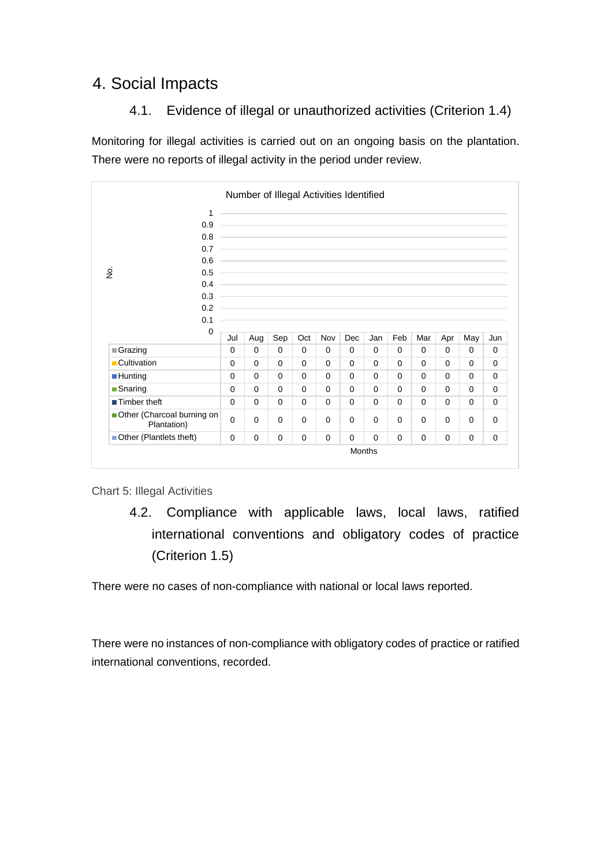## 4. Social Impacts

#### 4.1. Evidence of illegal or unauthorized activities (Criterion 1.4)

Monitoring for illegal activities is carried out on an ongoing basis on the plantation. There were no reports of illegal activity in the period under review.

| 1                                         |             |          |          |          |          |                                                                                                                                                                                                                               |          |          |          |          |          |                 |
|-------------------------------------------|-------------|----------|----------|----------|----------|-------------------------------------------------------------------------------------------------------------------------------------------------------------------------------------------------------------------------------|----------|----------|----------|----------|----------|-----------------|
| 0.9                                       |             |          |          |          |          |                                                                                                                                                                                                                               |          |          |          |          |          |                 |
| 0.8                                       |             |          |          |          |          | and the control of the control of the control of the control of the control of                                                                                                                                                |          |          |          |          |          |                 |
| 0.7                                       |             |          |          |          |          | <u> 1989 - Johann Stein, marwolaethau a bhann an t-Amhain ann an t-Amhain an t-Amhain an t-Amhain an t-Amhain an </u>                                                                                                         |          |          |          |          |          |                 |
| 0.6                                       |             |          |          |          |          | <u> Alexandro de la contrada de la contrada de la contrada de la contrada de la contrada de la contrada de la co</u>                                                                                                          |          |          |          |          |          |                 |
| ż<br>0.5                                  |             |          |          |          |          | the control of the control of the control of the control of the control of the control of the control of the control of the control of the control of the control of the control of the control of the control of the control |          |          |          |          |          |                 |
| 0.4                                       |             |          |          |          |          |                                                                                                                                                                                                                               |          |          |          |          |          |                 |
| 0.3                                       |             |          |          |          |          |                                                                                                                                                                                                                               |          |          |          |          |          |                 |
| 0.2                                       |             |          |          |          |          |                                                                                                                                                                                                                               |          |          |          |          |          |                 |
| 0.1                                       |             |          |          |          |          |                                                                                                                                                                                                                               |          |          |          |          |          |                 |
|                                           |             |          |          |          |          |                                                                                                                                                                                                                               |          |          |          |          |          |                 |
| 0                                         | Jul         | Aug      | Sep      | Oct      | Nov      | Dec                                                                                                                                                                                                                           | Jan      | Feb      | Mar      | Apr      | May      |                 |
| $\blacksquare$ Grazing                    | $\Omega$    | $\Omega$ | $\Omega$ | $\Omega$ | $\Omega$ | $\Omega$                                                                                                                                                                                                                      | $\Omega$ | $\Omega$ | $\Omega$ | $\Omega$ | $\Omega$ | $\Omega$        |
| <b>Cultivation</b>                        | $\Omega$    | $\Omega$ | $\Omega$ | $\Omega$ | $\Omega$ | $\Omega$                                                                                                                                                                                                                      | $\Omega$ | $\Omega$ | $\Omega$ | $\Omega$ | $\Omega$ | $\Omega$        |
| ■ Hunting                                 | $\Omega$    | $\Omega$ | $\Omega$ | $\Omega$ | $\Omega$ | $\Omega$                                                                                                                                                                                                                      | $\Omega$ | $\Omega$ | $\Omega$ | $\Omega$ | $\Omega$ | $\Omega$        |
| ■ Snaring                                 | $\Omega$    | $\Omega$ | $\Omega$ | $\Omega$ | $\Omega$ | $\Omega$                                                                                                                                                                                                                      | $\Omega$ | $\Omega$ | $\Omega$ | $\Omega$ | $\Omega$ | Jun<br>$\Omega$ |
| Timber theft                              | $\Omega$    | $\Omega$ | $\Omega$ | $\Omega$ | $\Omega$ | $\Omega$                                                                                                                                                                                                                      | $\Omega$ | $\Omega$ | $\Omega$ | $\Omega$ | $\Omega$ | $\Omega$        |
| Other (Charcoal burning on<br>Plantation) | $\mathbf 0$ | $\Omega$ | $\Omega$ | $\Omega$ | $\Omega$ | $\Omega$                                                                                                                                                                                                                      | $\Omega$ | $\Omega$ | $\Omega$ | $\Omega$ | $\Omega$ | $\Omega$        |

*Chart 5: Illegal Activities*

4.2. Compliance with applicable laws, local laws, ratified international conventions and obligatory codes of practice (Criterion 1.5)

There were no cases of non-compliance with national or local laws reported.

There were no instances of non-compliance with obligatory codes of practice or ratified international conventions, recorded.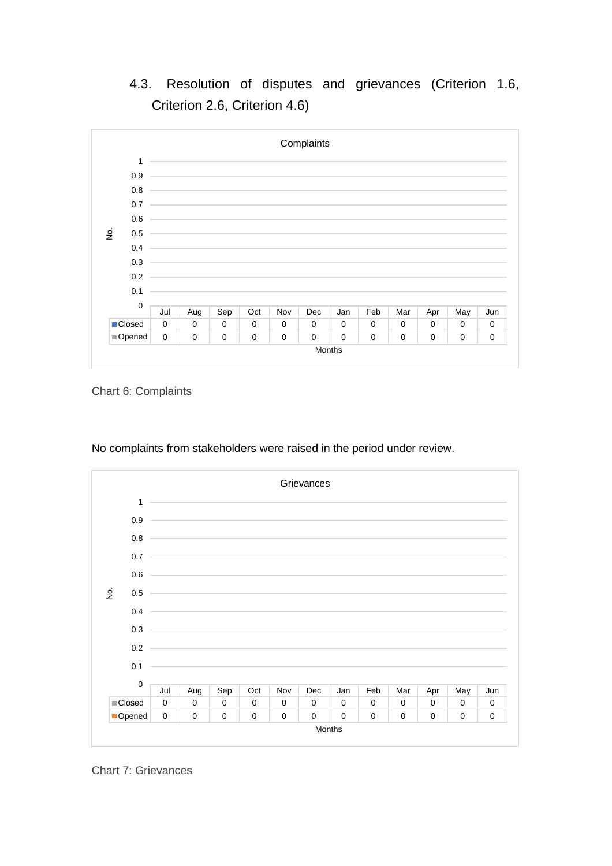# 4.3. Resolution of disputes and grievances (Criterion 1.6, Criterion 2.6, Criterion 4.6)



*Chart 6: Complaints*

Jul Aug Sep Oct Nov Dec Jan Feb Mar Apr May Jun Closed 0 0 0 0 0 0 0 0 0 0 0 0 Opened 0 0 0 0 0 0 0 0 0 0 0 0 0 0.1 0.2 0.3 0.4 0.5 0.6 0.7 0.8 0.9 1  $\dot{9}$ Months **Grievances** 

No complaints from stakeholders were raised in the period under review.

*Chart 7: Grievances*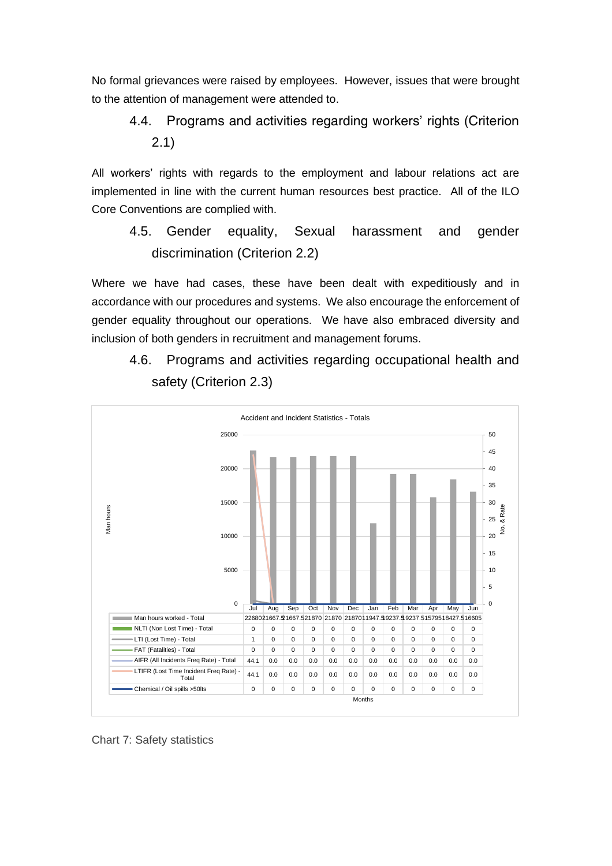No formal grievances were raised by employees. However, issues that were brought to the attention of management were attended to.

4.4. Programs and activities regarding workers' rights (Criterion 2.1)

All workers' rights with regards to the employment and labour relations act are implemented in line with the current human resources best practice. All of the ILO Core Conventions are complied with.

4.5. Gender equality, Sexual harassment and gender discrimination (Criterion 2.2)

Where we have had cases, these have been dealt with expeditiously and in accordance with our procedures and systems. We also encourage the enforcement of gender equality throughout our operations. We have also embraced diversity and inclusion of both genders in recruitment and management forums.

4.6. Programs and activities regarding occupational health and safety (Criterion 2.3)



*Chart 7: Safety statistics*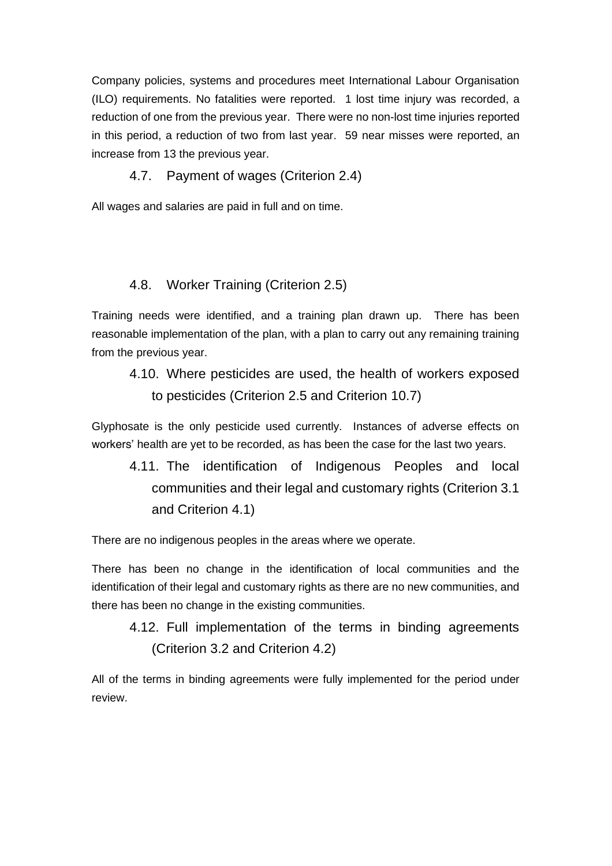Company policies, systems and procedures meet International Labour Organisation (ILO) requirements. No fatalities were reported. 1 lost time injury was recorded, a reduction of one from the previous year. There were no non-lost time injuries reported in this period, a reduction of two from last year. 59 near misses were reported, an increase from 13 the previous year.

#### 4.7. Payment of wages (Criterion 2.4)

All wages and salaries are paid in full and on time.

#### 4.8. Worker Training (Criterion 2.5)

Training needs were identified, and a training plan drawn up. There has been reasonable implementation of the plan, with a plan to carry out any remaining training from the previous year.

4.10. Where pesticides are used, the health of workers exposed to pesticides (Criterion 2.5 and Criterion 10.7)

Glyphosate is the only pesticide used currently. Instances of adverse effects on workers' health are yet to be recorded, as has been the case for the last two years.

4.11. The identification of Indigenous Peoples and local communities and their legal and customary rights (Criterion 3.1 and Criterion 4.1)

There are no indigenous peoples in the areas where we operate.

There has been no change in the identification of local communities and the identification of their legal and customary rights as there are no new communities, and there has been no change in the existing communities.

4.12. Full implementation of the terms in binding agreements (Criterion 3.2 and Criterion 4.2)

All of the terms in binding agreements were fully implemented for the period under review.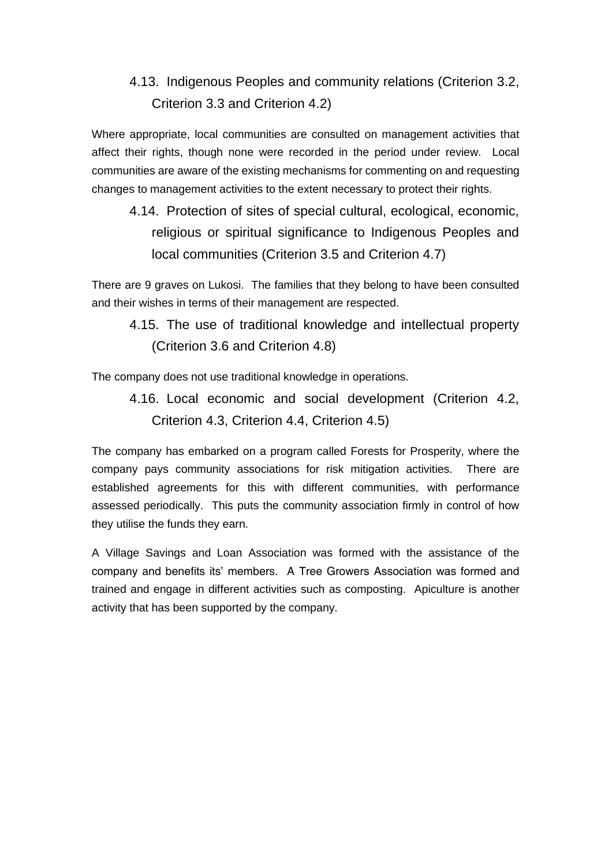## 4.13. Indigenous Peoples and community relations (Criterion 3.2, Criterion 3.3 and Criterion 4.2)

Where appropriate, local communities are consulted on management activities that affect their rights, though none were recorded in the period under review. Local communities are aware of the existing mechanisms for commenting on and requesting changes to management activities to the extent necessary to protect their rights.

4.14. Protection of sites of special cultural, ecological, economic, religious or spiritual significance to Indigenous Peoples and local communities (Criterion 3.5 and Criterion 4.7)

There are 9 graves on Lukosi. The families that they belong to have been consulted and their wishes in terms of their management are respected.

4.15. The use of traditional knowledge and intellectual property (Criterion 3.6 and Criterion 4.8)

The company does not use traditional knowledge in operations.

4.16. Local economic and social development (Criterion 4.2, Criterion 4.3, Criterion 4.4, Criterion 4.5)

The company has embarked on a program called Forests for Prosperity, where the company pays community associations for risk mitigation activities. There are established agreements for this with different communities, with performance assessed periodically. This puts the community association firmly in control of how they utilise the funds they earn.

A Village Savings and Loan Association was formed with the assistance of the company and benefits its' members. A Tree Growers Association was formed and trained and engage in different activities such as composting. Apiculture is another activity that has been supported by the company.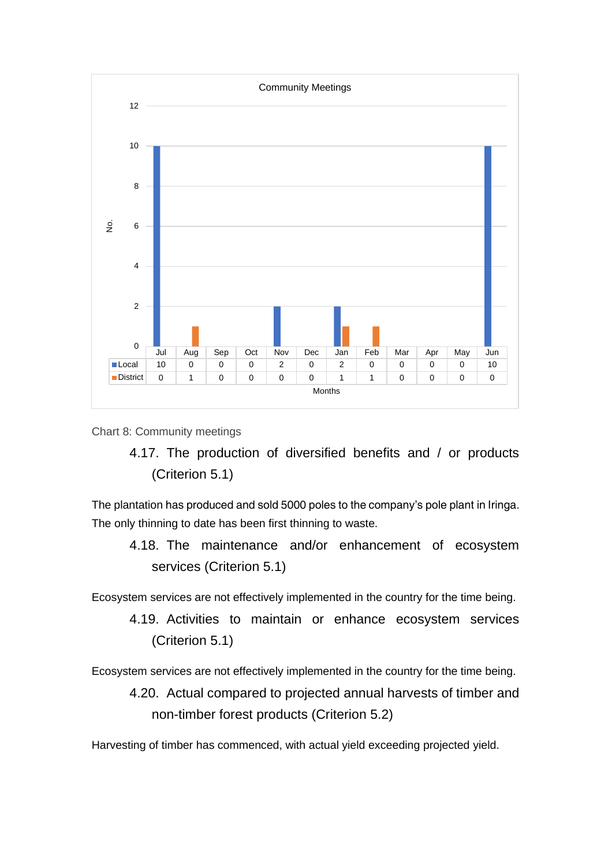



4.17. The production of diversified benefits and / or products (Criterion 5.1)

The plantation has produced and sold 5000 poles to the company's pole plant in Iringa. The only thinning to date has been first thinning to waste.

4.18. The maintenance and/or enhancement of ecosystem services (Criterion 5.1)

Ecosystem services are not effectively implemented in the country for the time being.

4.19. Activities to maintain or enhance ecosystem services (Criterion 5.1)

Ecosystem services are not effectively implemented in the country for the time being.

4.20. Actual compared to projected annual harvests of timber and non-timber forest products (Criterion 5.2)

Harvesting of timber has commenced, with actual yield exceeding projected yield.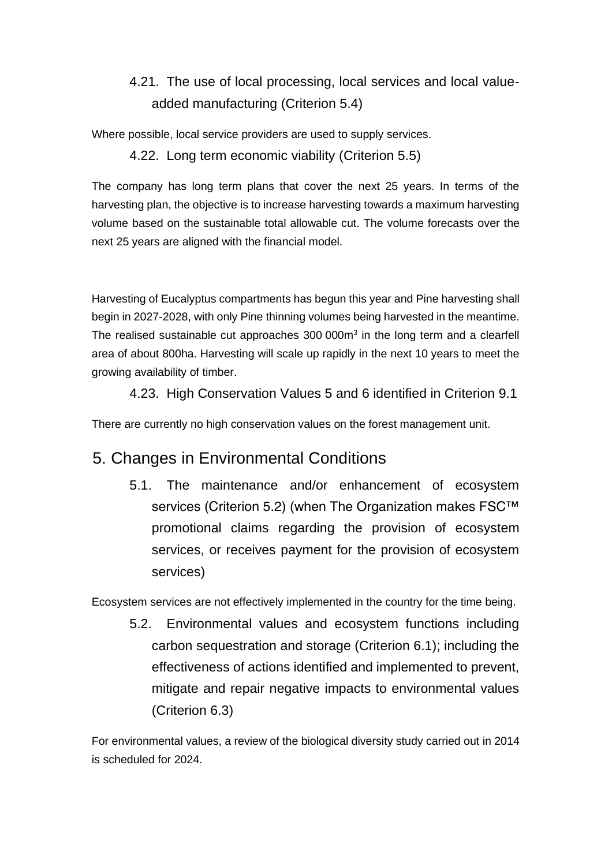## 4.21. The use of local processing, local services and local valueadded manufacturing (Criterion 5.4)

Where possible, local service providers are used to supply services.

4.22. Long term economic viability (Criterion 5.5)

The company has long term plans that cover the next 25 years. In terms of the harvesting plan, the objective is to increase harvesting towards a maximum harvesting volume based on the sustainable total allowable cut. The volume forecasts over the next 25 years are aligned with the financial model.

Harvesting of *Eucalyptus* compartments has begun this year and Pine harvesting shall begin in 2027-2028, with only Pine thinning volumes being harvested in the meantime. The realised sustainable cut approaches  $300~000m<sup>3</sup>$  in the long term and a clearfell area of about 800ha. Harvesting will scale up rapidly in the next 10 years to meet the growing availability of timber.

4.23. High Conservation Values 5 and 6 identified in Criterion 9.1

There are currently no high conservation values on the forest management unit.

### 5. Changes in Environmental Conditions

5.1. The maintenance and/or enhancement of ecosystem services (Criterion 5.2) (when The Organization makes FSC<sup>™</sup> promotional claims regarding the provision of ecosystem services, or receives payment for the provision of ecosystem services)

Ecosystem services are not effectively implemented in the country for the time being.

5.2. Environmental values and ecosystem functions including carbon sequestration and storage (Criterion 6.1); including the effectiveness of actions identified and implemented to prevent, mitigate and repair negative impacts to environmental values (Criterion 6.3)

For environmental values, a review of the biological diversity study carried out in 2014 is scheduled for 2024.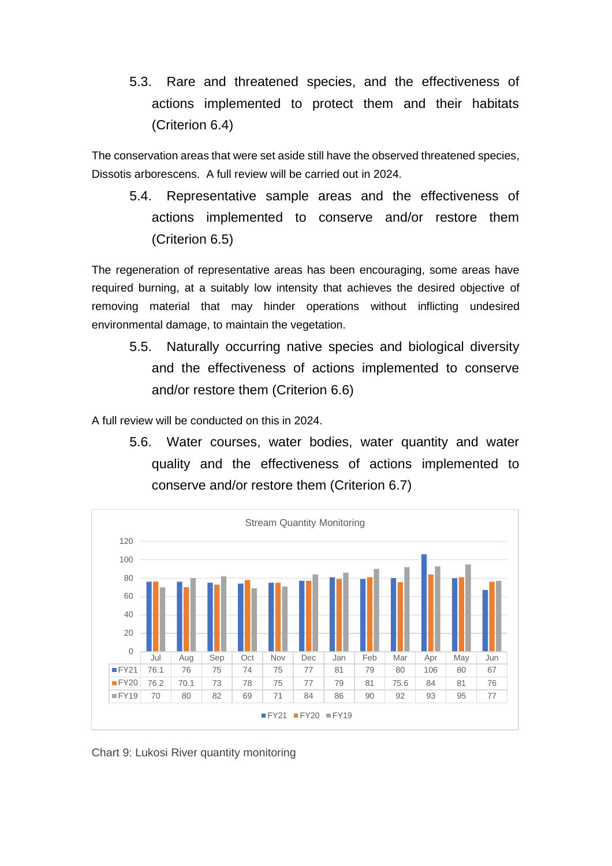5.3. Rare and threatened species, and the effectiveness of actions implemented to protect them and their habitats (Criterion 6.4)

The conservation areas that were set aside still have the observed threatened species, *Dissotis arborescens*. A full review will be carried out in 2024.

5.4. Representative sample areas and the effectiveness of actions implemented to conserve and/or restore them (Criterion 6.5)

The regeneration of representative areas has been encouraging, some areas have required burning, at a suitably low intensity that achieves the desired objective of removing material that may hinder operations without inflicting undesired environmental damage, to maintain the vegetation.

5.5. Naturally occurring native species and biological diversity and the effectiveness of actions implemented to conserve and/or restore them (Criterion 6.6)

A full review will be conducted on this in 2024.

5.6. Water courses, water bodies, water quantity and water quality and the effectiveness of actions implemented to conserve and/or restore them (Criterion 6.7)



*Chart 9: Lukosi River quantity monitoring*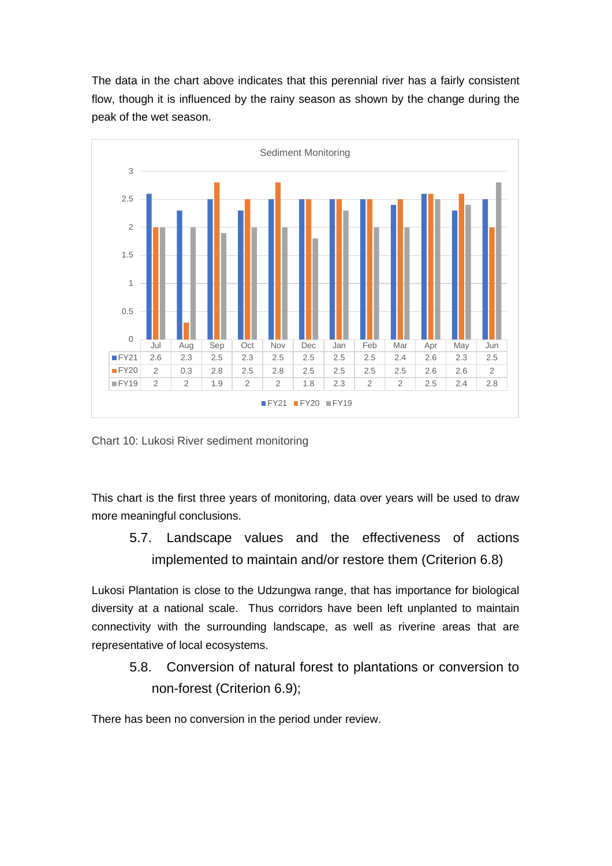The data in the chart above indicates that this perennial river has a fairly consistent flow, though it is influenced by the rainy season as shown by the change during the peak of the wet season.



*Chart 10: Lukosi River sediment monitoring*

This chart is the first three years of monitoring, data over years will be used to draw more meaningful conclusions.

5.7. Landscape values and the effectiveness of actions implemented to maintain and/or restore them (Criterion 6.8)

Lukosi Plantation is close to the Udzungwa range, that has importance for biological diversity at a national scale. Thus corridors have been left unplanted to maintain connectivity with the surrounding landscape, as well as riverine areas that are representative of local ecosystems.

5.8. Conversion of natural forest to plantations or conversion to non-forest (Criterion 6.9);

There has been no conversion in the period under review.